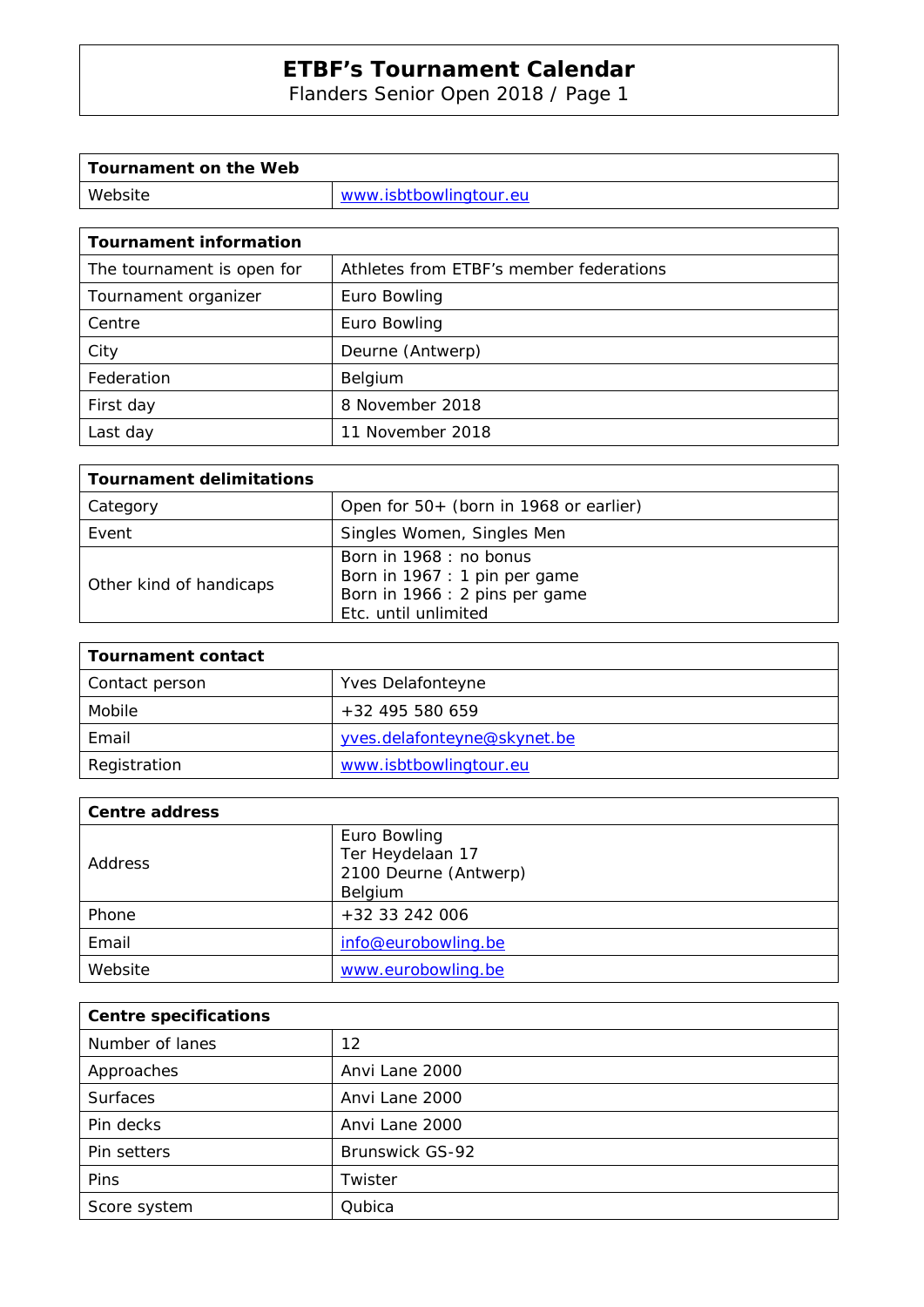Flanders Senior Open 2018 / Page 1

| Tournament on the Web |                        |
|-----------------------|------------------------|
| Website               | www.isbtbowlingtour.eu |

| <b>Tournament information</b> |                                         |  |  |
|-------------------------------|-----------------------------------------|--|--|
| The tournament is open for    | Athletes from ETBF's member federations |  |  |
| Tournament organizer          | Euro Bowling                            |  |  |
| Centre                        | Euro Bowling                            |  |  |
| City                          | Deurne (Antwerp)                        |  |  |
| Federation                    | Belgium                                 |  |  |
| First day                     | 8 November 2018                         |  |  |
| Last day                      | 11 November 2018                        |  |  |

| <b>Tournament delimitations</b> |                                                                                                                    |  |  |  |
|---------------------------------|--------------------------------------------------------------------------------------------------------------------|--|--|--|
| Category                        | Open for 50+ (born in 1968 or earlier)                                                                             |  |  |  |
| Event                           | Singles Women, Singles Men                                                                                         |  |  |  |
| Other kind of handicaps         | Born in 1968 : no bonus<br>Born in 1967 : 1 pin per game<br>Born in 1966 : 2 pins per game<br>Etc. until unlimited |  |  |  |

| Tournament contact |                             |
|--------------------|-----------------------------|
| Contact person     | Yves Delafonteyne           |
| Mobile             | $+32$ 495 580 659           |
| Email              | yves.delafonteyne@skynet.be |
| Registration       | www.isbtbowlingtour.eu      |

| Centre address |                                                                      |
|----------------|----------------------------------------------------------------------|
| Address        | Euro Bowling<br>Ter Heydelaan 17<br>2100 Deurne (Antwerp)<br>Belgium |
| Phone          | +32 33 242 006                                                       |
| Email          | info@eurobowling.be                                                  |
| Website        | www.eurobowling.be                                                   |

| <b>Centre specifications</b> |                        |
|------------------------------|------------------------|
| Number of lanes              | 12                     |
| Approaches                   | Anvi Lane 2000         |
| <b>Surfaces</b>              | Anvi Lane 2000         |
| Pin decks                    | Anvi Lane 2000         |
| Pin setters                  | <b>Brunswick GS-92</b> |
| Pins                         | Twister                |
| Score system                 | Qubica                 |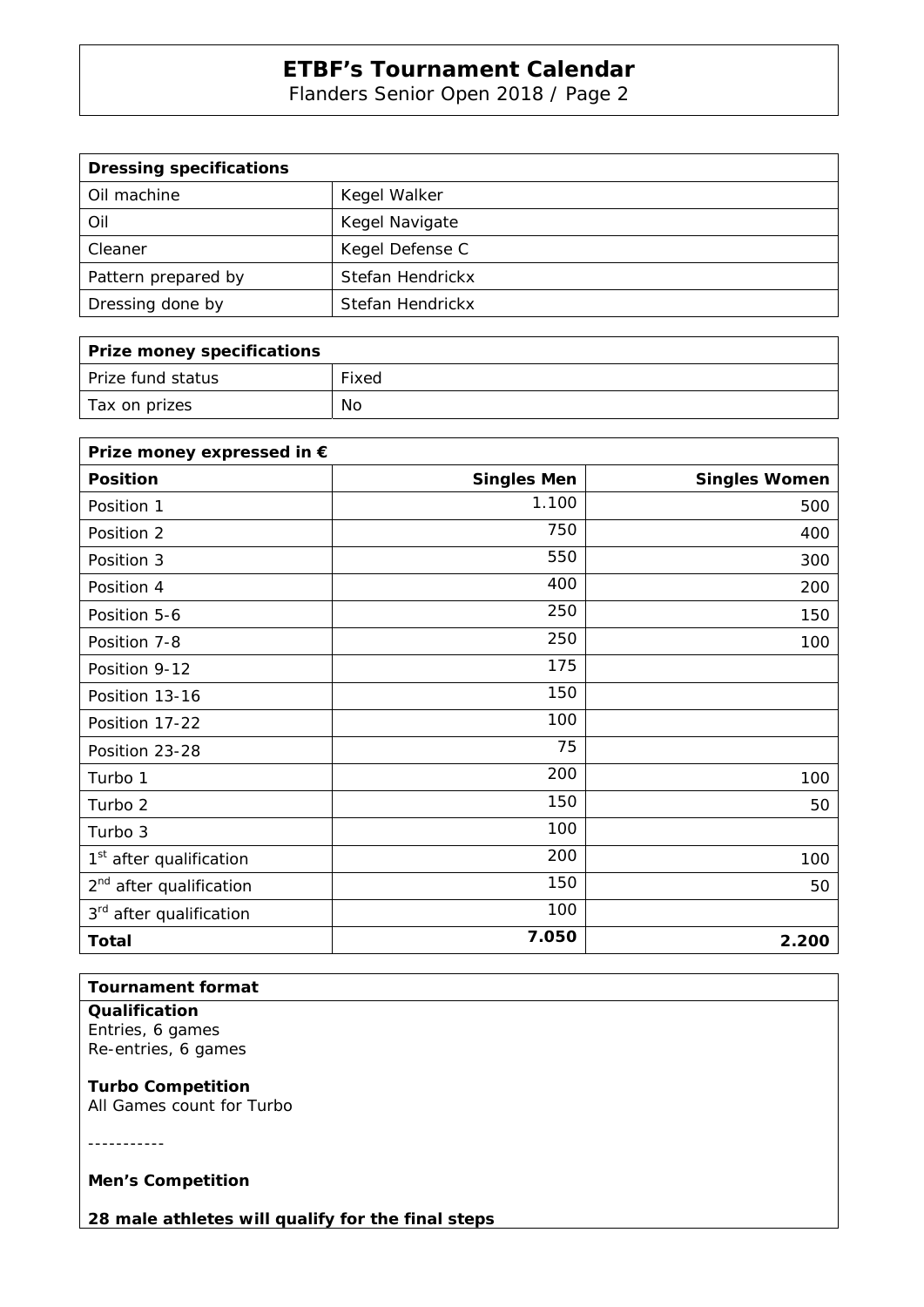Flanders Senior Open 2018 / Page 2

| <b>Dressing specifications</b> |                  |
|--------------------------------|------------------|
| Oil machine                    | Kegel Walker     |
| Oil                            | Kegel Navigate   |
| Cleaner                        | Kegel Defense C  |
| Pattern prepared by            | Stefan Hendrickx |
| Dressing done by               | Stefan Hendrickx |

| Prize money specifications |       |
|----------------------------|-------|
| Prize fund status          | Fixed |
| Tax on prizes              | No    |

| Prize money expressed in €          |                    |                      |
|-------------------------------------|--------------------|----------------------|
| <b>Position</b>                     | <b>Singles Men</b> | <b>Singles Women</b> |
| Position 1                          | 1.100              | 500                  |
| Position 2                          | 750                | 400                  |
| Position 3                          | 550                | 300                  |
| Position 4                          | 400                | 200                  |
| Position 5-6                        | 250                | 150                  |
| Position 7-8                        | 250                | 100                  |
| Position 9-12                       | 175                |                      |
| Position 13-16                      | 150                |                      |
| Position 17-22                      | 100                |                      |
| Position 23-28                      | 75                 |                      |
| Turbo 1                             | 200                | 100                  |
| Turbo 2                             | 150                | 50                   |
| Turbo 3                             | 100                |                      |
| 1 <sup>st</sup> after qualification | 200                | 100                  |
| 2 <sup>nd</sup> after qualification | 150                | 50                   |
| 3 <sup>rd</sup> after qualification | 100                |                      |
| <b>Total</b>                        | 7.050              | 2.200                |

## **Tournament format**

**Qualification**  Entries, 6 games Re-entries, 6 games

**Turbo Competition** 

All Games count for Turbo

-----------

**Men's Competition** 

**28 male athletes will qualify for the final steps**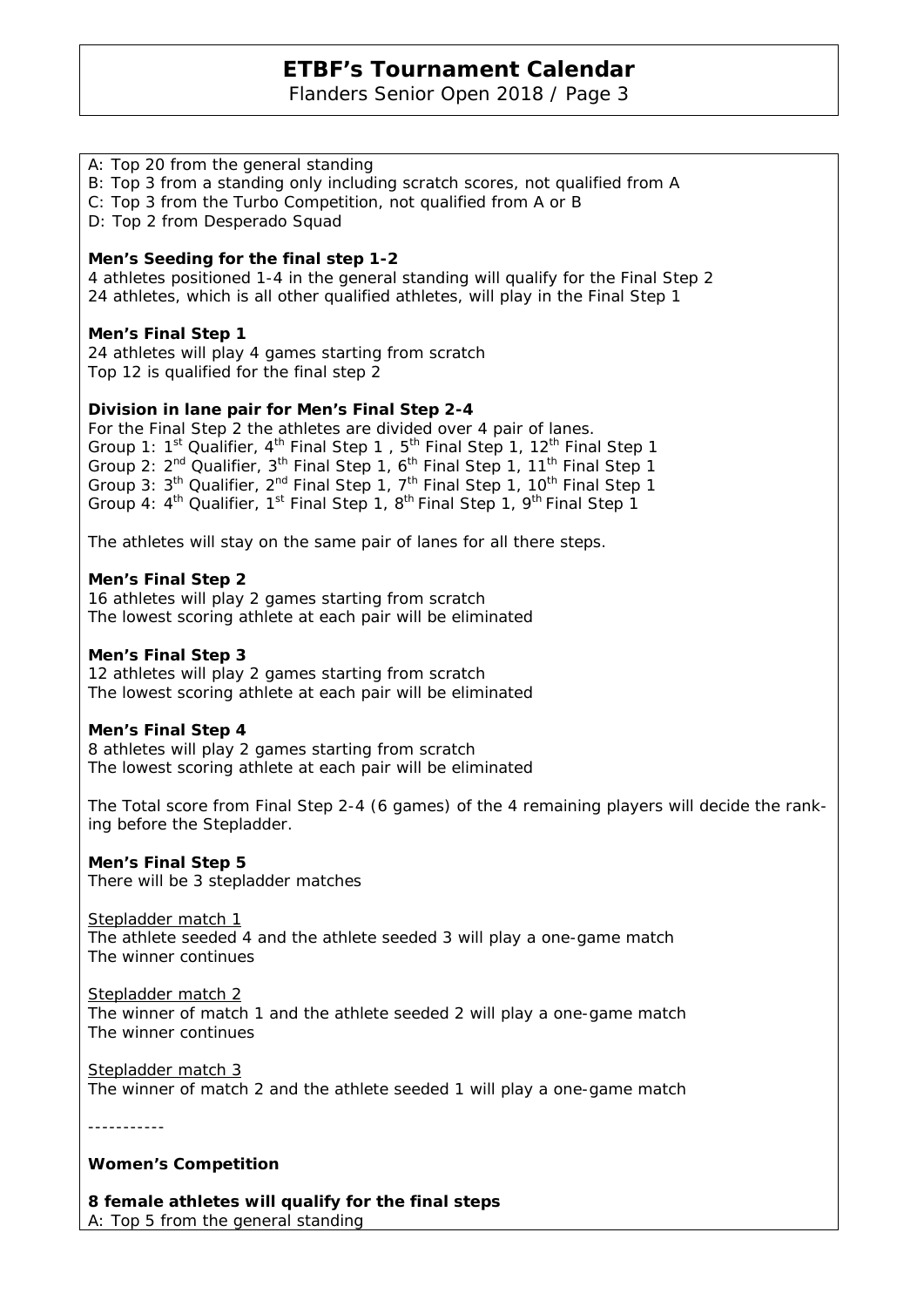Flanders Senior Open 2018 / Page 3

### A: Top 20 from the general standing

B: Top 3 from a standing only including scratch scores, not qualified from A

C: Top 3 from the Turbo Competition, not qualified from A or B

D: Top 2 from Desperado Squad

#### **Men's Seeding for the final step 1-2**

4 athletes positioned 1-4 in the general standing will qualify for the Final Step 2 24 athletes, which is all other qualified athletes, will play in the Final Step 1

#### **Men's Final Step 1**

24 athletes will play 4 games starting from scratch Top 12 is qualified for the final step 2

#### **Division in lane pair for Men's Final Step 2-4**

For the Final Step 2 the athletes are divided over 4 pair of lanes. Group 1: 1<sup>st</sup> Qualifier, 4<sup>th</sup> Final Step 1, 5<sup>th</sup> Final Step 1, 12<sup>th</sup> Final Step 1 Group 2: 2<sup>nd</sup> Qualifier, 3<sup>th</sup> Final Step 1, 6<sup>th</sup> Final Step 1, 11<sup>th</sup> Final Step 1 Group 3: 3<sup>th</sup> Qualifier, 2<sup>nd</sup> Final Step 1, 7<sup>th</sup> Final Step 1, 10<sup>th</sup> Final Step 1 Group 4:  $4^{\text{th}}$  Qualifier,  $1^{\text{st}}$  Final Step 1,  $8^{\text{th}}$  Final Step 1,  $9^{\text{th}}$  Final Step 1

The athletes will stay on the same pair of lanes for all there steps.

#### **Men's Final Step 2**

16 athletes will play 2 games starting from scratch The lowest scoring athlete at each pair will be eliminated

#### **Men's Final Step 3**

12 athletes will play 2 games starting from scratch The lowest scoring athlete at each pair will be eliminated

#### **Men's Final Step 4**

8 athletes will play 2 games starting from scratch The lowest scoring athlete at each pair will be eliminated

The Total score from Final Step 2-4 (6 games) of the 4 remaining players will decide the ranking before the Stepladder.

#### **Men's Final Step 5**

There will be 3 stepladder matches

Stepladder match 1 The athlete seeded 4 and the athlete seeded 3 will play a one-game match The winner continues

Stepladder match 2 The winner of match 1 and the athlete seeded 2 will play a one-game match The winner continues

Stepladder match 3 The winner of match 2 and the athlete seeded 1 will play a one-game match

-----------

#### **Women's Competition**

**8 female athletes will qualify for the final steps**  A: Top 5 from the general standing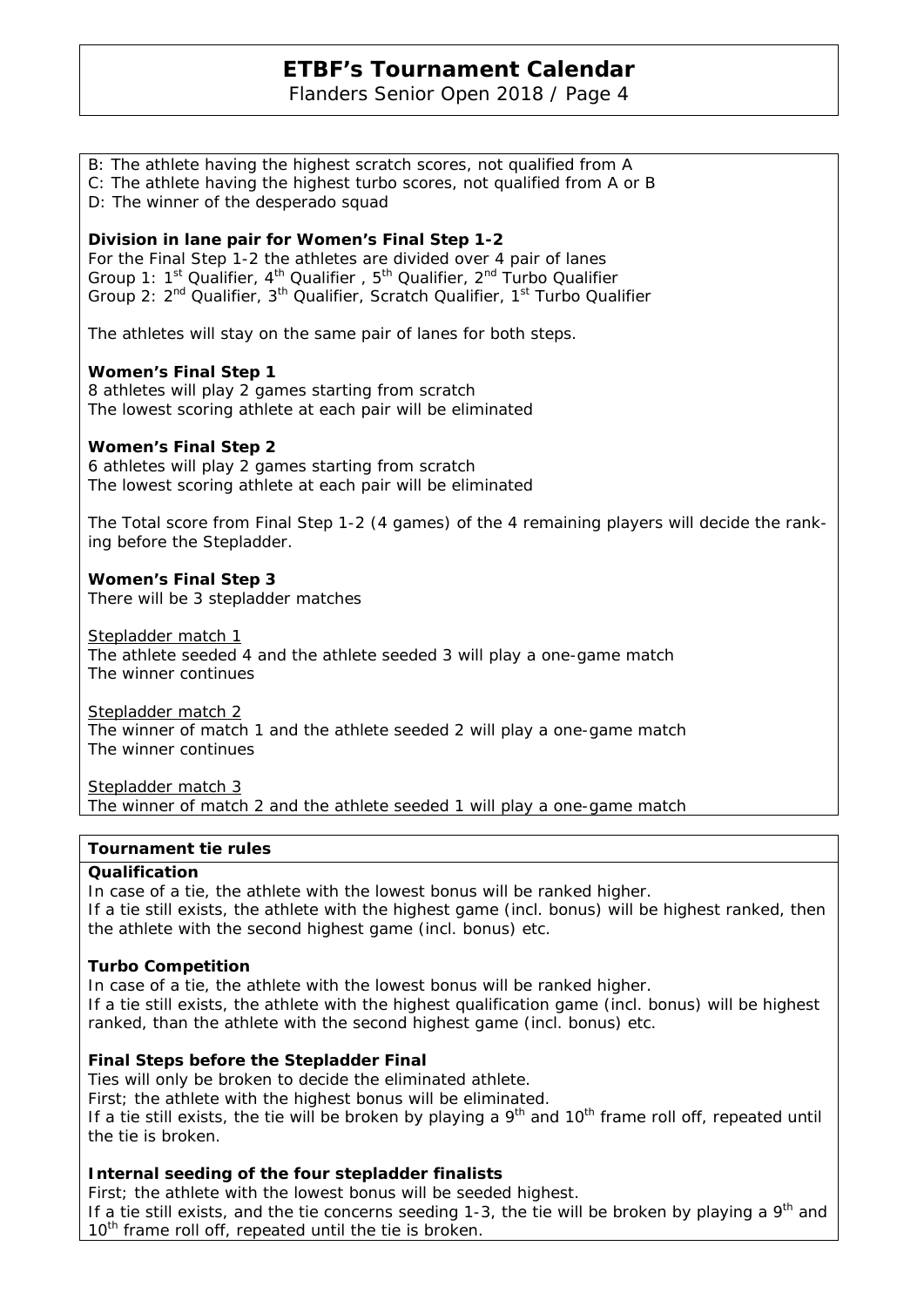Flanders Senior Open 2018 / Page 4

B: The athlete having the highest scratch scores, not qualified from A C: The athlete having the highest turbo scores, not qualified from A or B D: The winner of the desperado squad **Division in lane pair for Women's Final Step 1-2**  For the Final Step 1-2 the athletes are divided over 4 pair of lanes Group 1:  $1^{st}$  Qualifier,  $4^{th}$  Qualifier,  $5^{th}$  Qualifier,  $2^{nd}$  Turbo Qualifier Group 2: 2<sup>nd</sup> Qualifier, 3<sup>th</sup> Qualifier, Scratch Qualifier, 1<sup>st</sup> Turbo Qualifier The athletes will stay on the same pair of lanes for both steps. **Women's Final Step 1**  8 athletes will play 2 games starting from scratch The lowest scoring athlete at each pair will be eliminated **Women's Final Step 2**  6 athletes will play 2 games starting from scratch The lowest scoring athlete at each pair will be eliminated The Total score from Final Step 1-2 (4 games) of the 4 remaining players will decide the ranking before the Stepladder. **Women's Final Step 3**  There will be 3 stepladder matches Stepladder match 1 The athlete seeded 4 and the athlete seeded 3 will play a one-game match The winner continues Stepladder match 2 The winner of match 1 and the athlete seeded 2 will play a one-game match The winner continues Stepladder match 3 The winner of match 2 and the athlete seeded 1 will play a one-game match

#### **Tournament tie rules**

#### **Qualification**

In case of a tie, the athlete with the lowest bonus will be ranked higher. If a tie still exists, the athlete with the highest game (incl. bonus) will be highest ranked, then the athlete with the second highest game (incl. bonus) etc.

## **Turbo Competition**

In case of a tie, the athlete with the lowest bonus will be ranked higher. If a tie still exists, the athlete with the highest qualification game (incl. bonus) will be highest ranked, than the athlete with the second highest game (incl. bonus) etc.

## **Final Steps before the Stepladder Final**

Ties will only be broken to decide the eliminated athlete. First; the athlete with the highest bonus will be eliminated. If a tie still exists, the tie will be broken by playing a  $9<sup>th</sup>$  and  $10<sup>th</sup>$  frame roll off, repeated until the tie is broken.

## **Internal seeding of the four stepladder finalists**

First; the athlete with the lowest bonus will be seeded highest. If a tie still exists, and the tie concerns seeding 1-3, the tie will be broken by playing a  $9<sup>th</sup>$  and 10<sup>th</sup> frame roll off, repeated until the tie is broken.